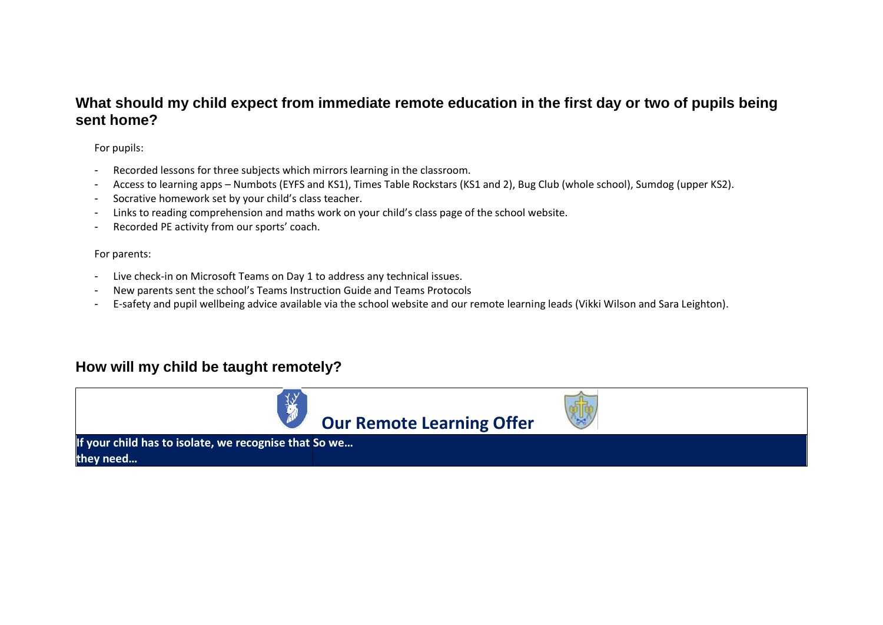### **What should my child expect from immediate remote education in the first day or two of pupils being sent home?**

For pupils:

- Recorded lessons for three subjects which mirrors learning in the classroom.
- Access to learning apps Numbots (EYFS and KS1), Times Table Rockstars (KS1 and 2), Bug Club (whole school), Sumdog (upper KS2).
- Socrative homework set by your child's class teacher.
- Links to reading comprehension and maths work on your child's class page of the school website.
- Recorded PE activity from our sports' coach.

For parents:

- Live check-in on Microsoft Teams on Day 1 to address any technical issues.
- New parents sent the school's Teams Instruction Guide and Teams Protocols
- E-safety and pupil wellbeing advice available via the school website and our remote learning leads (Vikki Wilson and Sara Leighton).

# **How will my child be taught remotely?**

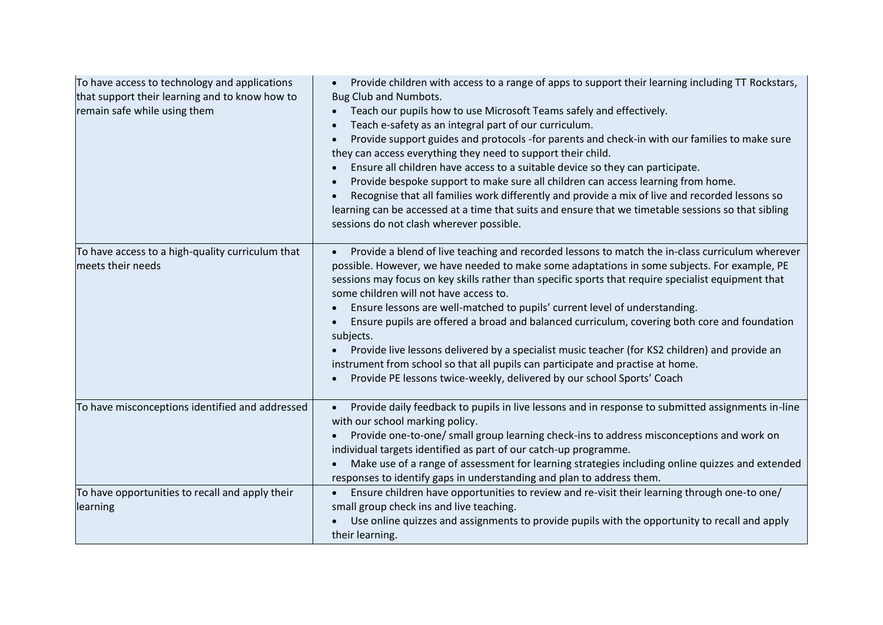| To have access to technology and applications<br>that support their learning and to know how to<br>remain safe while using them | Provide children with access to a range of apps to support their learning including TT Rockstars,<br>$\bullet$<br>Bug Club and Numbots.<br>Teach our pupils how to use Microsoft Teams safely and effectively.<br>$\bullet$<br>Teach e-safety as an integral part of our curriculum.<br>$\bullet$<br>Provide support guides and protocols -for parents and check-in with our families to make sure<br>$\bullet$<br>they can access everything they need to support their child.<br>Ensure all children have access to a suitable device so they can participate.<br>Provide bespoke support to make sure all children can access learning from home.<br>Recognise that all families work differently and provide a mix of live and recorded lessons so<br>learning can be accessed at a time that suits and ensure that we timetable sessions so that sibling<br>sessions do not clash wherever possible. |
|---------------------------------------------------------------------------------------------------------------------------------|-----------------------------------------------------------------------------------------------------------------------------------------------------------------------------------------------------------------------------------------------------------------------------------------------------------------------------------------------------------------------------------------------------------------------------------------------------------------------------------------------------------------------------------------------------------------------------------------------------------------------------------------------------------------------------------------------------------------------------------------------------------------------------------------------------------------------------------------------------------------------------------------------------------|
| To have access to a high-quality curriculum that<br>meets their needs                                                           | Provide a blend of live teaching and recorded lessons to match the in-class curriculum wherever<br>possible. However, we have needed to make some adaptations in some subjects. For example, PE<br>sessions may focus on key skills rather than specific sports that require specialist equipment that<br>some children will not have access to.<br>Ensure lessons are well-matched to pupils' current level of understanding.<br>Ensure pupils are offered a broad and balanced curriculum, covering both core and foundation<br>$\bullet$<br>subjects.<br>Provide live lessons delivered by a specialist music teacher (for KS2 children) and provide an<br>instrument from school so that all pupils can participate and practise at home.<br>Provide PE lessons twice-weekly, delivered by our school Sports' Coach                                                                                   |
| To have misconceptions identified and addressed                                                                                 | Provide daily feedback to pupils in live lessons and in response to submitted assignments in-line<br>$\bullet$<br>with our school marking policy.<br>Provide one-to-one/ small group learning check-ins to address misconceptions and work on<br>individual targets identified as part of our catch-up programme.<br>Make use of a range of assessment for learning strategies including online quizzes and extended<br>responses to identify gaps in understanding and plan to address them.                                                                                                                                                                                                                                                                                                                                                                                                             |
| To have opportunities to recall and apply their<br>learning                                                                     | Ensure children have opportunities to review and re-visit their learning through one-to one/<br>$\bullet$<br>small group check ins and live teaching.<br>Use online quizzes and assignments to provide pupils with the opportunity to recall and apply<br>their learning.                                                                                                                                                                                                                                                                                                                                                                                                                                                                                                                                                                                                                                 |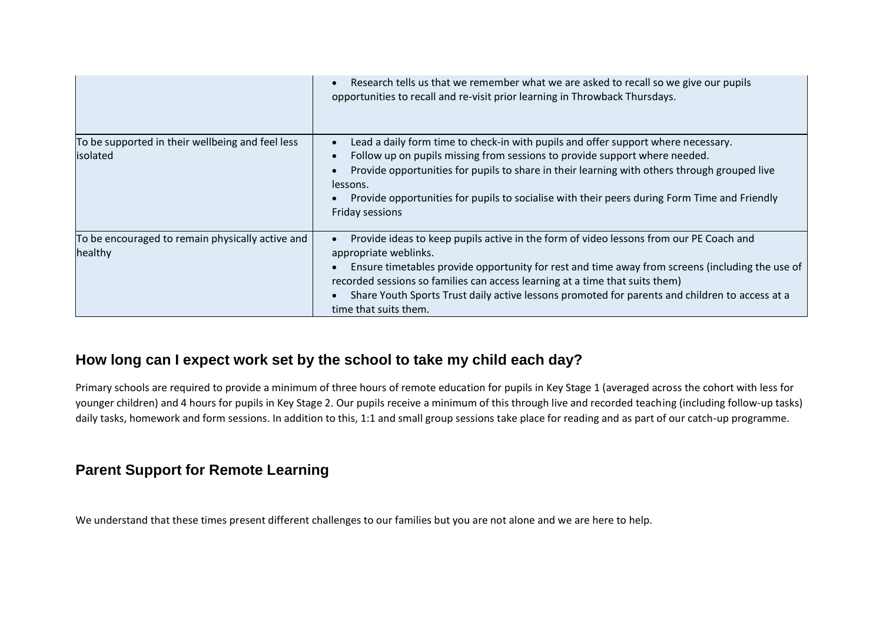|                                                              | Research tells us that we remember what we are asked to recall so we give our pupils<br>$\bullet$<br>opportunities to recall and re-visit prior learning in Throwback Thursdays.                                                                                                                                                                                                                                              |
|--------------------------------------------------------------|-------------------------------------------------------------------------------------------------------------------------------------------------------------------------------------------------------------------------------------------------------------------------------------------------------------------------------------------------------------------------------------------------------------------------------|
| To be supported in their wellbeing and feel less<br>isolated | Lead a daily form time to check-in with pupils and offer support where necessary.<br>Follow up on pupils missing from sessions to provide support where needed.<br>Provide opportunities for pupils to share in their learning with others through grouped live<br>$\bullet$<br>lessons.<br>Provide opportunities for pupils to socialise with their peers during Form Time and Friendly<br>Friday sessions                   |
| To be encouraged to remain physically active and<br>healthy  | Provide ideas to keep pupils active in the form of video lessons from our PE Coach and<br>appropriate weblinks.<br>Ensure timetables provide opportunity for rest and time away from screens (including the use of<br>recorded sessions so families can access learning at a time that suits them)<br>Share Youth Sports Trust daily active lessons promoted for parents and children to access at a<br>time that suits them. |

# **How long can I expect work set by the school to take my child each day?**

Primary schools are required to provide a minimum of three hours of remote education for pupils in Key Stage 1 (averaged across the cohort with less for younger children) and 4 hours for pupils in Key Stage 2. Our pupils receive a minimum of this through live and recorded teaching (including follow-up tasks) daily tasks, homework and form sessions. In addition to this, 1:1 and small group sessions take place for reading and as part of our catch-up programme.

# **Parent Support for Remote Learning**

We understand that these times present different challenges to our families but you are not alone and we are here to help.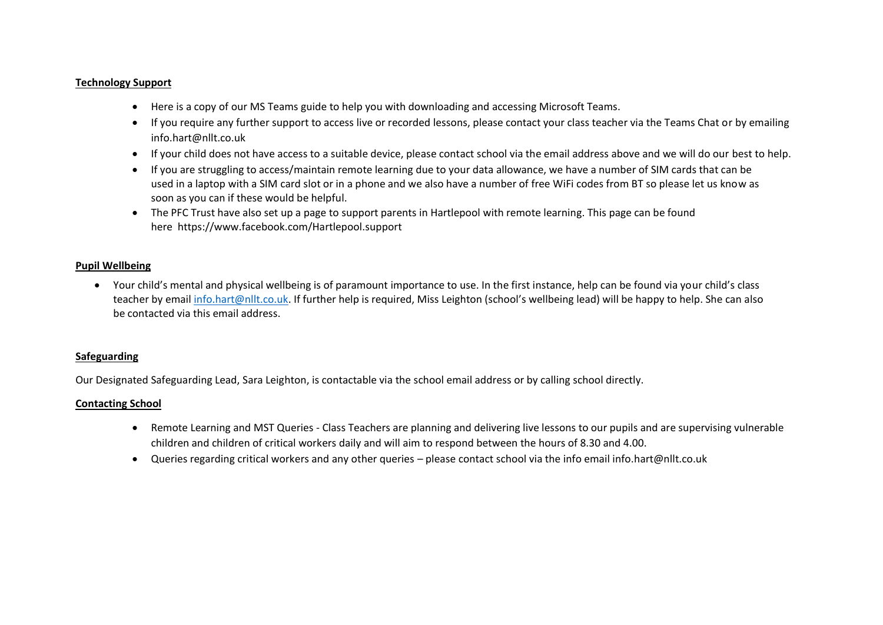#### **Technology Support**

- Here is a copy of our MS Teams guide to help you with downloading and accessing Microsoft Teams.
- If you require any further support to access live or recorded lessons, please contact your class teacher via the Teams Chat or by emailing [info.hart@nllt.co.uk](mailto:info.Elwick@nllt.co.uk)
- If your child does not have access to a suitable device, please contact school via the email address above and we will do our best to help.
- If you are struggling to access/maintain remote learning due to your data allowance, we have a number of SIM cards that can be used in a laptop with a SIM card slot or in a phone and we also have a number of free WiFi codes from BT so please let us know as soon as you can if these would be helpful.
- The PFC Trust have also set up a page to support parents in Hartlepool with remote learning. This page can be found here <https://www.facebook.com/Hartlepool.support>

#### **Pupil Wellbeing**

• Your child's mental and physical wellbeing is of paramount importance to use. In the first instance, help can be found via your child's class teacher by email [info.hart@nllt.co.uk](mailto:info.hart@nllt.co.uk). If further help is required, Miss Leighton (school's wellbeing lead) will be happy to help. She can also be contacted via this email address.

#### **Safeguarding**

Our Designated Safeguarding Lead, Sara Leighton, is contactable via the school email address or by calling school directly.

#### **Contacting School**

- Remote Learning and MST Queries Class Teachers are planning and delivering live lessons to our pupils and are supervising vulnerable children and children of critical workers daily and will aim to respond between the hours of 8.30 and 4.00.
- Queries regarding critical workers and any other queries please contact school via the info email info.hart@nllt.co.uk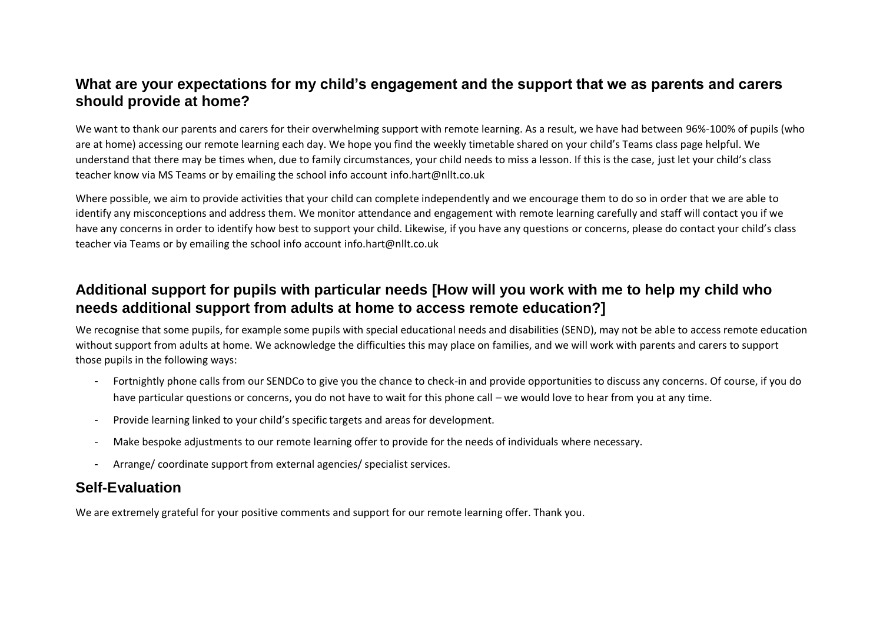### **What are your expectations for my child's engagement and the support that we as parents and carers should provide at home?**

We want to thank our parents and carers for their overwhelming support with remote learning. As a result, we have had between 96%-100% of pupils (who are at home) accessing our remote learning each day. We hope you find the weekly timetable shared on your child's Teams class page helpful. We understand that there may be times when, due to family circumstances, your child needs to miss a lesson. If this is the case, just let your child's class teacher know via MS Teams or by emailing the school info account info.hart@nllt.co.uk

Where possible, we aim to provide activities that your child can complete independently and we encourage them to do so in order that we are able to identify any misconceptions and address them. We monitor attendance and engagement with remote learning carefully and staff will contact you if we have any concerns in order to identify how best to support your child. Likewise, if you have any questions or concerns, please do contact your child's class teacher via Teams or by emailing the school info account info.hart@nllt.co.uk

# **Additional support for pupils with particular needs [How will you work with me to help my child who needs additional support from adults at home to access remote education?]**

We recognise that some pupils, for example some pupils with special educational needs and disabilities (SEND), may not be able to access remote education without support from adults at home. We acknowledge the difficulties this may place on families, and we will work with parents and carers to support those pupils in the following ways:

- Fortnightly phone calls from our SENDCo to give you the chance to check-in and provide opportunities to discuss any concerns. Of course, if you do have particular questions or concerns, you do not have to wait for this phone call – we would love to hear from you at any time.
- Provide learning linked to your child's specific targets and areas for development.
- Make bespoke adjustments to our remote learning offer to provide for the needs of individuals where necessary.
- Arrange/ coordinate support from external agencies/ specialist services.

# **Self-Evaluation**

We are extremely grateful for your positive comments and support for our remote learning offer. Thank you.